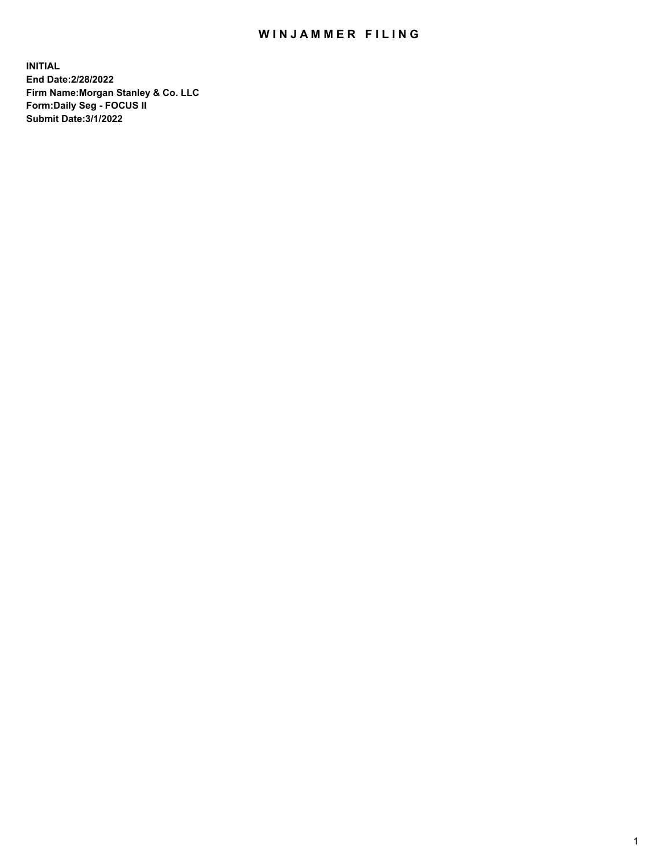## WIN JAMMER FILING

**INITIAL End Date:2/28/2022 Firm Name:Morgan Stanley & Co. LLC Form:Daily Seg - FOCUS II Submit Date:3/1/2022**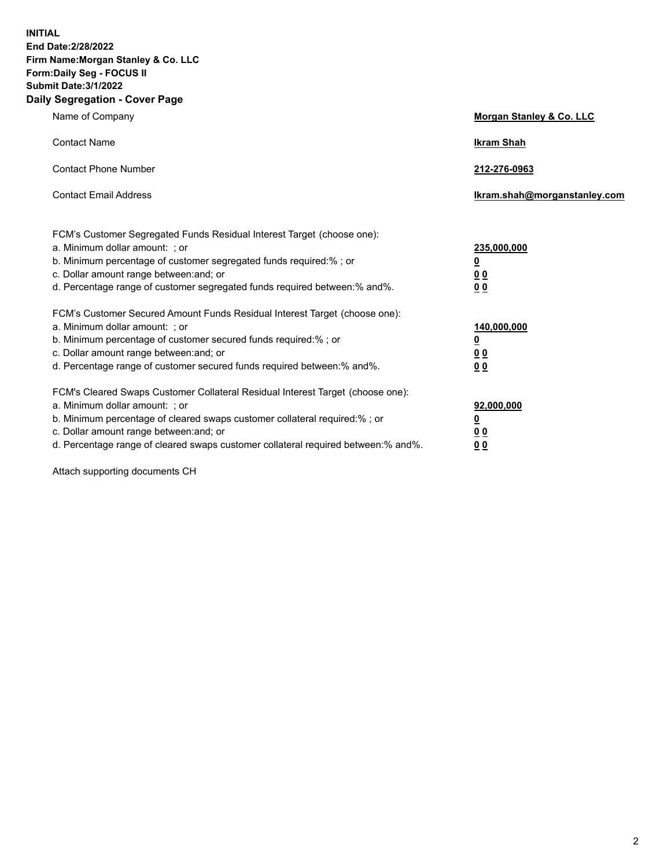**INITIAL End Date:2/28/2022 Firm Name:Morgan Stanley & Co. LLC Form:Daily Seg - FOCUS II Submit Date:3/1/2022 Daily Segregation - Cover Page**

| Name of Company                                                                                                                                                                                                                                                                                                                | <b>Morgan Stanley &amp; Co. LLC</b>                    |
|--------------------------------------------------------------------------------------------------------------------------------------------------------------------------------------------------------------------------------------------------------------------------------------------------------------------------------|--------------------------------------------------------|
| <b>Contact Name</b>                                                                                                                                                                                                                                                                                                            | <b>Ikram Shah</b>                                      |
| <b>Contact Phone Number</b>                                                                                                                                                                                                                                                                                                    | 212-276-0963                                           |
| <b>Contact Email Address</b>                                                                                                                                                                                                                                                                                                   | Ikram.shah@morganstanley.com                           |
| FCM's Customer Segregated Funds Residual Interest Target (choose one):<br>a. Minimum dollar amount: ; or<br>b. Minimum percentage of customer segregated funds required:% ; or<br>c. Dollar amount range between: and; or<br>d. Percentage range of customer segregated funds required between: % and %.                       | 235,000,000<br><u>0</u><br>00<br>0 Q                   |
| FCM's Customer Secured Amount Funds Residual Interest Target (choose one):<br>a. Minimum dollar amount: ; or<br>b. Minimum percentage of customer secured funds required:% ; or<br>c. Dollar amount range between: and; or<br>d. Percentage range of customer secured funds required between:% and%.                           | 140,000,000<br><u>0</u><br><u>00</u><br>0 <sub>0</sub> |
| FCM's Cleared Swaps Customer Collateral Residual Interest Target (choose one):<br>a. Minimum dollar amount: ; or<br>b. Minimum percentage of cleared swaps customer collateral required:% ; or<br>c. Dollar amount range between: and; or<br>d. Percentage range of cleared swaps customer collateral required between:% and%. | 92,000,000<br><u>0</u><br><u>00</u><br>0 <sub>0</sub>  |

Attach supporting documents CH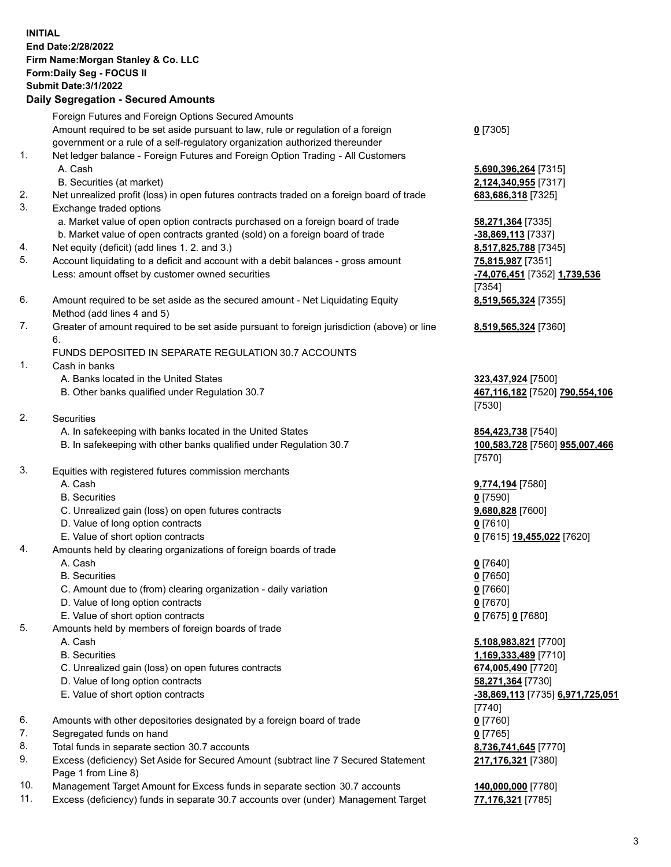| <b>INITIAL</b>       | End Date: 2/28/2022<br>Firm Name: Morgan Stanley & Co. LLC<br>Form: Daily Seg - FOCUS II<br><b>Submit Date: 3/1/2022</b><br><b>Daily Segregation - Secured Amounts</b>                                                                              |                                                                                                                                         |
|----------------------|-----------------------------------------------------------------------------------------------------------------------------------------------------------------------------------------------------------------------------------------------------|-----------------------------------------------------------------------------------------------------------------------------------------|
|                      | Foreign Futures and Foreign Options Secured Amounts                                                                                                                                                                                                 |                                                                                                                                         |
| 1.                   | Amount required to be set aside pursuant to law, rule or regulation of a foreign<br>government or a rule of a self-regulatory organization authorized thereunder<br>Net ledger balance - Foreign Futures and Foreign Option Trading - All Customers | $0$ [7305]                                                                                                                              |
|                      | A. Cash<br>B. Securities (at market)                                                                                                                                                                                                                | 5,690,396,264 [7315]<br>2,124,340,955 [7317]                                                                                            |
| 2.<br>3.             | Net unrealized profit (loss) in open futures contracts traded on a foreign board of trade<br>Exchange traded options                                                                                                                                | 683,686,318 [7325]                                                                                                                      |
| 4.                   | a. Market value of open option contracts purchased on a foreign board of trade<br>b. Market value of open contracts granted (sold) on a foreign board of trade<br>Net equity (deficit) (add lines 1. 2. and 3.)                                     | 58,271,364 [7335]<br>-38,869,113 [7337]<br>8,517,825,788 [7345]                                                                         |
| 5.                   | Account liquidating to a deficit and account with a debit balances - gross amount<br>Less: amount offset by customer owned securities                                                                                                               | 75,815,987 [7351]<br>-74,076,451 [7352] 1,739,536<br>[7354]                                                                             |
| 6.                   | Amount required to be set aside as the secured amount - Net Liquidating Equity<br>Method (add lines 4 and 5)                                                                                                                                        | 8,519,565,324 [7355]                                                                                                                    |
| 7.                   | Greater of amount required to be set aside pursuant to foreign jurisdiction (above) or line<br>6.                                                                                                                                                   | 8,519,565,324 [7360]                                                                                                                    |
| 1.                   | FUNDS DEPOSITED IN SEPARATE REGULATION 30.7 ACCOUNTS<br>Cash in banks                                                                                                                                                                               |                                                                                                                                         |
|                      | A. Banks located in the United States<br>B. Other banks qualified under Regulation 30.7                                                                                                                                                             | 323,437,924 [7500]<br>467,116,182 [7520] 790,554,106<br>[7530]                                                                          |
| 2.                   | Securities<br>A. In safekeeping with banks located in the United States<br>B. In safekeeping with other banks qualified under Regulation 30.7                                                                                                       | 854,423,738 [7540]<br>100,583,728 [7560] 955,007,466<br>[7570]                                                                          |
| 3.                   | Equities with registered futures commission merchants<br>A. Cash<br><b>B.</b> Securities<br>C. Unrealized gain (loss) on open futures contracts                                                                                                     | 9,774,194 [7580]<br>$0$ [7590]<br>9,680,828 [7600]                                                                                      |
|                      | D. Value of long option contracts<br>E. Value of short option contracts                                                                                                                                                                             | $0$ [7610]<br>0 [7615] 19,455,022 [7620]                                                                                                |
| 4.                   | Amounts held by clearing organizations of foreign boards of trade<br>A. Cash<br><b>B.</b> Securities<br>C. Amount due to (from) clearing organization - daily variation<br>D. Value of long option contracts<br>E. Value of short option contracts  | $0$ [7640]<br>$0$ [7650]<br>$0$ [7660]<br>$0$ [7670]<br>0 [7675] 0 [7680]                                                               |
| 5.                   | Amounts held by members of foreign boards of trade<br>A. Cash<br><b>B.</b> Securities<br>C. Unrealized gain (loss) on open futures contracts<br>D. Value of long option contracts<br>E. Value of short option contracts                             | 5,108,983,821 [7700]<br>1,169,333,489 [7710]<br>674,005,490 [7720]<br>58,271,364 [7730]<br>-38,869,113 [7735] 6,971,725,051<br>$[7740]$ |
| 6.<br>7.<br>8.<br>9. | Amounts with other depositories designated by a foreign board of trade<br>Segregated funds on hand<br>Total funds in separate section 30.7 accounts<br>Excess (deficiency) Set Aside for Secured Amount (subtract line 7 Secured Statement          | $0$ [7760]<br>$0$ [7765]<br>8,736,741,645 [7770]<br>217,176,321 [7380]                                                                  |
|                      | Page 1 from Line 8)                                                                                                                                                                                                                                 |                                                                                                                                         |

- 10. Management Target Amount for Excess funds in separate section 30.7 accounts **140,000,000** [7780]
- 11. Excess (deficiency) funds in separate 30.7 accounts over (under) Management Target **77,176,321** [7785]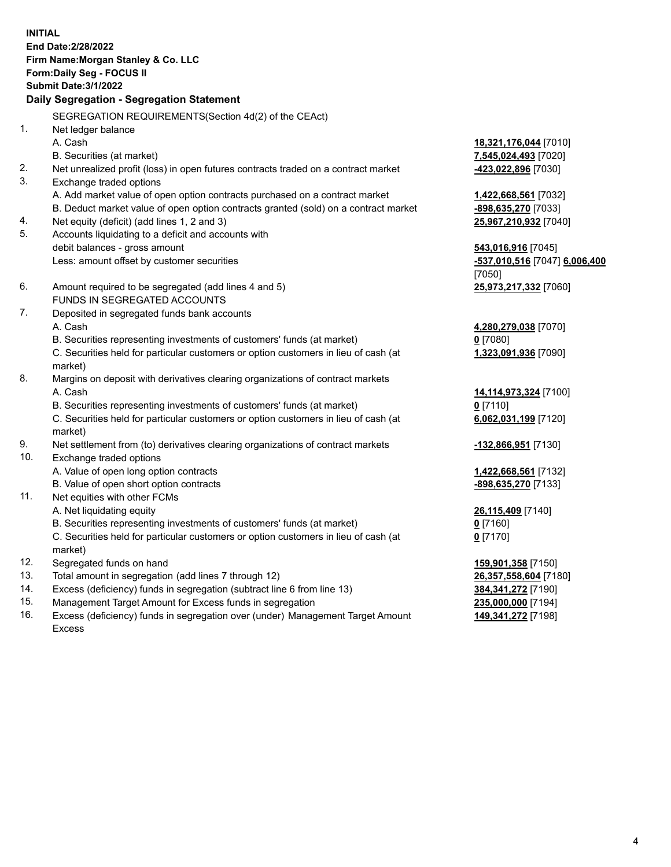**INITIAL End Date:2/28/2022 Firm Name:Morgan Stanley & Co. LLC Form:Daily Seg - FOCUS II Submit Date:3/1/2022 Daily Segregation - Segregation Statement** SEGREGATION REQUIREMENTS(Section 4d(2) of the CEAct) 1. Net ledger balance A. Cash **18,321,176,044** [7010] B. Securities (at market) **7,545,024,493** [7020] 2. Net unrealized profit (loss) in open futures contracts traded on a contract market **-423,022,896** [7030] 3. Exchange traded options A. Add market value of open option contracts purchased on a contract market **1,422,668,561** [7032] B. Deduct market value of open option contracts granted (sold) on a contract market **-898,635,270** [7033] 4. Net equity (deficit) (add lines 1, 2 and 3) **25,967,210,932** [7040] 5. Accounts liquidating to a deficit and accounts with debit balances - gross amount **543,016,916** [7045] Less: amount offset by customer securities **-537,010,516** [7047] **6,006,400** [7050] 6. Amount required to be segregated (add lines 4 and 5) **25,973,217,332** [7060] FUNDS IN SEGREGATED ACCOUNTS 7. Deposited in segregated funds bank accounts A. Cash **4,280,279,038** [7070] B. Securities representing investments of customers' funds (at market) **0** [7080] C. Securities held for particular customers or option customers in lieu of cash (at market) **1,323,091,936** [7090] 8. Margins on deposit with derivatives clearing organizations of contract markets A. Cash **14,114,973,324** [7100] B. Securities representing investments of customers' funds (at market) **0** [7110] C. Securities held for particular customers or option customers in lieu of cash (at market) **6,062,031,199** [7120] 9. Net settlement from (to) derivatives clearing organizations of contract markets **-132,866,951** [7130] 10. Exchange traded options A. Value of open long option contracts **1,422,668,561** [7132] B. Value of open short option contracts **-898,635,270** [7133] 11. Net equities with other FCMs A. Net liquidating equity **26,115,409** [7140] B. Securities representing investments of customers' funds (at market) **0** [7160] C. Securities held for particular customers or option customers in lieu of cash (at market) **0** [7170] 12. Segregated funds on hand **159,901,358** [7150] 13. Total amount in segregation (add lines 7 through 12) **26,357,558,604** [7180] 14. Excess (deficiency) funds in segregation (subtract line 6 from line 13) **384,341,272** [7190] 15. Management Target Amount for Excess funds in segregation **235,000,000** [7194] **149,341,272** [7198]

16. Excess (deficiency) funds in segregation over (under) Management Target Amount Excess